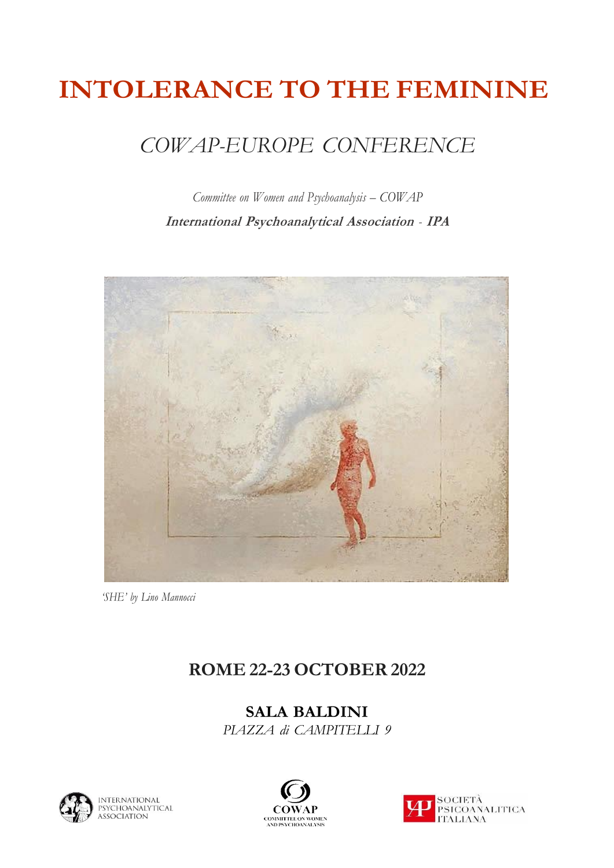# **INTOLERANCE TO THE FEMININE**

## *COWAP-EUROPE CONFERENCE*

*Committee on Women and Psychoanalysis – COWAP* **International Psychoanalytical Association** *-* **IPA**



*'SHE' by Lino Mannocci*

#### **ROME 22-23 OCTOBER 2022**

**SALA BALDINI**  *PIAZZA di CAMPITELLI 9* 





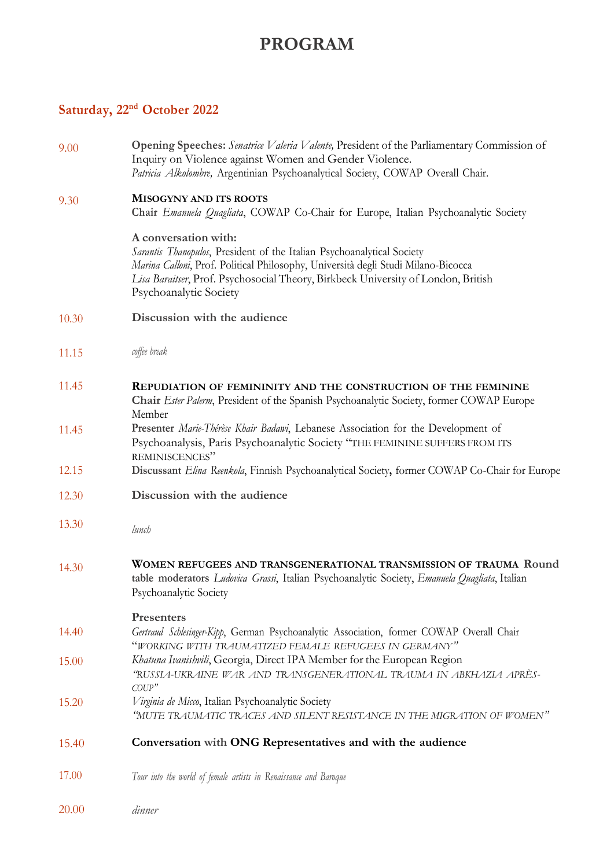### **PROGRAM**

### **Saturday, 22nd October 2022**

| 9.00  | Opening Speeches: Senatrice Valeria Valente, President of the Parliamentary Commission of<br>Inquiry on Violence against Women and Gender Violence.<br>Patricia Alkolombre, Argentinian Psychoanalytical Society, COWAP Overall Chair.                                                             |  |
|-------|----------------------------------------------------------------------------------------------------------------------------------------------------------------------------------------------------------------------------------------------------------------------------------------------------|--|
| 9.30  | <b>MISOGYNY AND ITS ROOTS</b><br>Chair Emanuela Quagliata, COWAP Co-Chair for Europe, Italian Psychoanalytic Society                                                                                                                                                                               |  |
|       | A conversation with:<br>Sarantis Thanopulos, President of the Italian Psychoanalytical Society<br>Marina Calloni, Prof. Political Philosophy, Università degli Studi Milano-Bicocca<br>Lisa Baraitser, Prof. Psychosocial Theory, Birkbeck University of London, British<br>Psychoanalytic Society |  |
| 10.30 | Discussion with the audience                                                                                                                                                                                                                                                                       |  |
| 11.15 | coffee break                                                                                                                                                                                                                                                                                       |  |
| 11.45 | REPUDIATION OF FEMININITY AND THE CONSTRUCTION OF THE FEMININE<br>Chair Ester Palerm, President of the Spanish Psychoanalytic Society, former COWAP Europe<br>Member                                                                                                                               |  |
| 11.45 | Presenter Marie-Thérèse Khair Badawi, Lebanese Association for the Development of<br>Psychoanalysis, Paris Psychoanalytic Society "THE FEMININE SUFFERS FROM ITS<br>REMINISCENCES"                                                                                                                 |  |
| 12.15 | Discussant Elina Reenkola, Finnish Psychoanalytical Society, former COWAP Co-Chair for Europe                                                                                                                                                                                                      |  |
| 12.30 | Discussion with the audience                                                                                                                                                                                                                                                                       |  |
| 13.30 | lunch                                                                                                                                                                                                                                                                                              |  |
| 14.30 | WOMEN REFUGEES AND TRANSGENERATIONAL TRANSMISSION OF TRAUMA Round<br>table moderators Ludovica Grassi, Italian Psychoanalytic Society, Emanuela Quagliata, Italian<br>Psychoanalytic Society                                                                                                       |  |
| 14.40 | <b>Presenters</b><br>Gertraud Schlesinger-Kipp, German Psychoanalytic Association, former COWAP Overall Chair<br>"WORKING WITH TRAUMATIZED FEMALE REFUGEES IN GERMANY"                                                                                                                             |  |
| 15.00 | Khatuna Ivanishvili, Georgia, Direct IPA Member for the European Region<br>"RUSSIA-UKRAINE WAR AND TRANSGENERATIONAL TRAUMA IN ABKHAZIA APRÈS-<br>C O U P''                                                                                                                                        |  |
| 15.20 | Virginia de Micco, Italian Psychoanalytic Society<br>"MUTE TRAUMATIC TRACES AND SILENT RESISTANCE IN THE MIGRATION OF WOMEN"                                                                                                                                                                       |  |
| 15.40 | Conversation with ONG Representatives and with the audience                                                                                                                                                                                                                                        |  |
| 17.00 | Tour into the world of female artists in Renaissance and Baroque                                                                                                                                                                                                                                   |  |
| 20.00 | dinner                                                                                                                                                                                                                                                                                             |  |